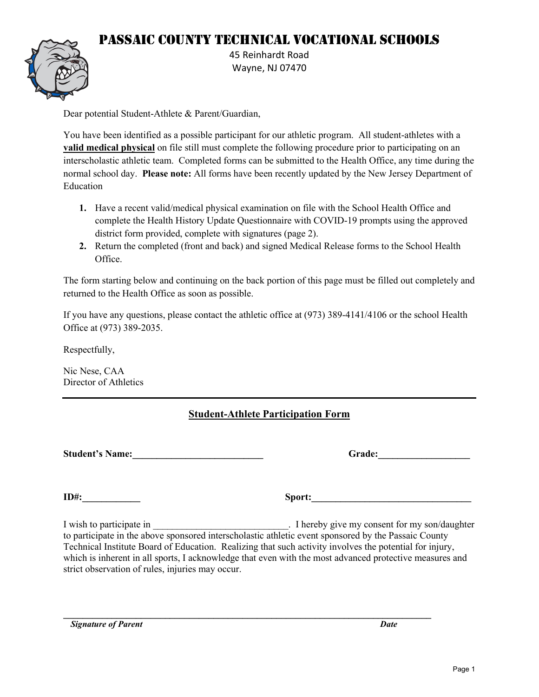## Passaic County Technical Vocational Schools



45 Reinhardt Road Wayne, NJ 07470

Dear potential Student-Athlete & Parent/Guardian,

You have been identified as a possible participant for our athletic program. All student-athletes with a **valid medical physical** on file still must complete the following procedure prior to participating on an interscholastic athletic team. Completed forms can be submitted to the Health Office, any time during the normal school day. **Please note:** All forms have been recently updated by the New Jersey Department of Education

- **1.** Have a recent valid/medical physical examination on file with the School Health Office and complete the Health History Update Questionnaire with COVID-19 prompts using the approved district form provided, complete with signatures (page 2).
- **2.** Return the completed (front and back) and signed Medical Release forms to the School Health Office.

The form starting below and continuing on the back portion of this page must be filled out completely and returned to the Health Office as soon as possible.

If you have any questions, please contact the athletic office at (973) 389-4141/4106 or the school Health Office at (973) 389-2035.

Respectfully,

Nic Nese, CAA Director of Athletics

## **Student-Athlete Participation Form**

**Student's Name:** The student's Name:  $G$  is a student's Name:  $G$  is a student's Name:  $G$  is a studied of  $G$  is a studied of  $G$  is a studied of  $G$  is a studied of  $G$  is a studied of  $G$  is a studied of  $G$  is a studi

**ID#:** Sport:

I wish to participate in \_\_\_\_\_\_\_\_\_\_\_\_\_\_\_\_\_\_\_\_\_\_\_\_\_\_\_\_\_\_\_\_. I hereby give my consent for my son/daughter to participate in the above sponsored interscholastic athletic event sponsored by the Passaic County Technical Institute Board of Education. Realizing that such activity involves the potential for injury, which is inherent in all sports, I acknowledge that even with the most advanced protective measures and strict observation of rules, injuries may occur.

**\_\_\_\_\_\_\_\_\_\_\_\_\_\_\_\_\_\_\_\_\_\_\_\_\_\_\_\_\_\_\_\_\_\_\_\_\_\_\_\_\_\_\_\_\_\_\_\_\_\_\_\_\_\_\_\_\_\_\_\_\_\_\_\_\_\_\_\_\_\_\_\_\_\_\_\_**  *<u>Signature of Parent Date</u>*